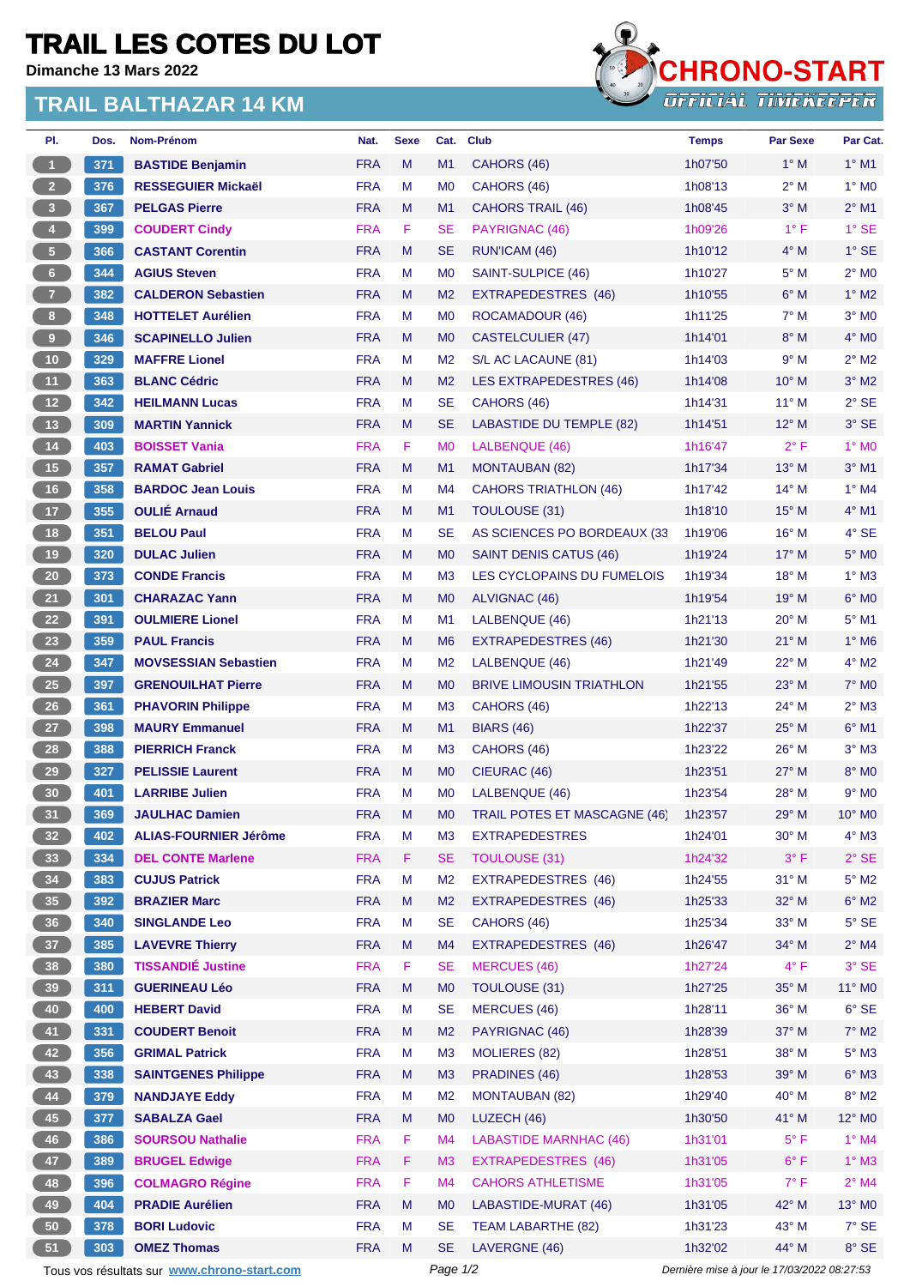## **TRAIL LES COTES DU LOT**

**Dimanche 13 Mars 2022**

## **TRAIL BALTHAZAR 14 KM**



| PI.                  | Dos. | Nom-Prénom                                  | Nat.       | <b>Sexe</b> | Cat.           | <b>Club</b>                         | <b>Temps</b>                                | <b>Par Sexe</b> | Par Cat.           |
|----------------------|------|---------------------------------------------|------------|-------------|----------------|-------------------------------------|---------------------------------------------|-----------------|--------------------|
| $\blacktriangleleft$ | 371  | <b>BASTIDE Benjamin</b>                     | <b>FRA</b> | M           | M1             | CAHORS (46)                         | 1h07'50                                     | $1^\circ$ M     | $1^\circ$ M1       |
| 2 <sup>7</sup>       | 376  | <b>RESSEGUIER Mickaël</b>                   | <b>FRA</b> | M           | M <sub>0</sub> | CAHORS (46)                         | 1h08'13                                     | $2^{\circ}$ M   | $1^\circ$ MO       |
| 3 <sup>2</sup>       | 367  | <b>PELGAS Pierre</b>                        | <b>FRA</b> | M           | M1             | <b>CAHORS TRAIL (46)</b>            | 1h08'45                                     | $3^\circ$ M     | $2^{\circ}$ M1     |
| $\bullet$            | 399  | <b>COUDERT Cindy</b>                        | <b>FRA</b> | F.          | SE             | PAYRIGNAC (46)                      | 1h09'26                                     | $1^{\circ}$ F   | $1^\circ$ SE       |
| 5 <sub>1</sub>       | 366  | <b>CASTANT Corentin</b>                     | <b>FRA</b> | M           | SE             | RUN'ICAM (46)                       | 1h10'12                                     | $4^\circ$ M     | $1^\circ$ SE       |
| $6 -$                | 344  | <b>AGIUS Steven</b>                         | <b>FRA</b> | M           | M <sub>0</sub> | SAINT-SULPICE (46)                  | 1h10'27                                     | $5^\circ$ M     | $2^{\circ}$ MO     |
| 7 <sup>2</sup>       | 382  | <b>CALDERON Sebastien</b>                   | <b>FRA</b> | M           | M <sub>2</sub> | EXTRAPEDESTRES (46)                 | 1h10'55                                     | $6^\circ$ M     | $1^\circ$ M2       |
| 8 <sub>1</sub>       | 348  | <b>HOTTELET Aurélien</b>                    | <b>FRA</b> | М           | M <sub>0</sub> | ROCAMADOUR (46)                     | 1h11'25                                     | $7^\circ$ M     | $3°$ MO            |
| $\bullet$            | 346  | <b>SCAPINELLO Julien</b>                    | <b>FRA</b> | M           | M <sub>0</sub> | <b>CASTELCULIER (47)</b>            | 1h14'01                                     | $8^\circ$ M     | $4^\circ$ MO       |
| $10$                 | 329  | <b>MAFFRE Lionel</b>                        | <b>FRA</b> | м           | M <sub>2</sub> | S/L AC LACAUNE (81)                 | 1h14'03                                     | 9° M            | $2^{\circ}$ M2     |
| 11                   | 363  | <b>BLANC Cédric</b>                         | <b>FRA</b> | M           | M <sub>2</sub> | LES EXTRAPEDESTRES (46)             | 1h14'08                                     | $10^{\circ}$ M  | $3°$ M2            |
| 12                   | 342  | <b>HEILMANN Lucas</b>                       | <b>FRA</b> | м           | <b>SE</b>      | CAHORS (46)                         | 1h14'31                                     | $11^{\circ}$ M  | $2°$ SE            |
| 13                   | 309  | <b>MARTIN Yannick</b>                       | <b>FRA</b> | M           | <b>SE</b>      | <b>LABASTIDE DU TEMPLE (82)</b>     | 1h14'51                                     | $12^{\circ}$ M  | $3°$ SE            |
| 14                   | 403  | <b>BOISSET Vania</b>                        | <b>FRA</b> | F.          | M <sub>0</sub> | LALBENQUE (46)                      | 1h16'47                                     | $2^{\circ}$ F   | $1^\circ$ MO       |
| 15                   | 357  | <b>RAMAT Gabriel</b>                        | <b>FRA</b> | M           | M1             | <b>MONTAUBAN (82)</b>               | 1h17'34                                     | $13^{\circ}$ M  | $3^\circ$ M1       |
| 16                   | 358  | <b>BARDOC Jean Louis</b>                    | <b>FRA</b> | M           | M4             | <b>CAHORS TRIATHLON (46)</b>        | 1h17'42                                     | $14^{\circ}$ M  | $1^\circ$ M4       |
| 17 <sup>2</sup>      | 355  | <b>OULIÉ Arnaud</b>                         | <b>FRA</b> | M           | M1             | TOULOUSE (31)                       | 1h18'10                                     | $15^{\circ}$ M  | $4^{\circ}$ M1     |
| 18                   | 351  | <b>BELOU Paul</b>                           | <b>FRA</b> | М           | <b>SE</b>      | AS SCIENCES PO BORDEAUX (33         | 1h19'06                                     | $16^{\circ}$ M  | $4°$ SE            |
| 19                   | 320  | <b>DULAC Julien</b>                         | <b>FRA</b> | M           | M <sub>0</sub> | <b>SAINT DENIS CATUS (46)</b>       | 1h19'24                                     | $17^{\circ}$ M  | $5^\circ$ MO       |
| 20 <sub>2</sub>      | 373  | <b>CONDE Francis</b>                        | <b>FRA</b> | M           | M <sub>3</sub> | LES CYCLOPAINS DU FUMELOIS          | 1h19'34                                     | $18^{\circ}$ M  | $1^\circ$ M3       |
| 21                   | 301  | <b>CHARAZAC Yann</b>                        | <b>FRA</b> | M           | M <sub>0</sub> | ALVIGNAC (46)                       | 1h19'54                                     | $19^{\circ}$ M  | $6^{\circ}$ MO     |
| 22                   | 391  | <b>OULMIERE Lionel</b>                      | <b>FRA</b> | M           | M1             | LALBENQUE (46)                      | 1h21'13                                     | $20^{\circ}$ M  | $5^{\circ}$ M1     |
| 23                   | 359  | <b>PAUL Francis</b>                         | <b>FRA</b> | M           | M <sub>6</sub> | <b>EXTRAPEDESTRES (46)</b>          | 1h21'30                                     | $21^{\circ}$ M  | $1^\circ$ M6       |
| 24                   | 347  | <b>MOVSESSIAN Sebastien</b>                 | <b>FRA</b> | M           | M <sub>2</sub> | LALBENQUE (46)                      | 1h21'49                                     | 22° M           | $4^{\circ}$ M2     |
| 25                   | 397  | <b>GRENOUILHAT Pierre</b>                   | <b>FRA</b> | M           | M <sub>0</sub> | <b>BRIVE LIMOUSIN TRIATHLON</b>     | 1h21'55                                     | $23^\circ$ M    | $7^\circ$ MO       |
| 26                   | 361  | <b>PHAVORIN Philippe</b>                    | <b>FRA</b> | М           | M <sub>3</sub> | CAHORS (46)                         | 1h22'13                                     | $24^{\circ}$ M  | $2^{\circ}$ M3     |
| 27 <sub>2</sub>      | 398  | <b>MAURY Emmanuel</b>                       | <b>FRA</b> | M           | M1             | <b>BIARS (46)</b>                   | 1h22'37                                     | $25^{\circ}$ M  | $6^{\circ}$ M1     |
| 28                   | 388  | <b>PIERRICH Franck</b>                      | <b>FRA</b> | м           | M <sub>3</sub> | CAHORS (46)                         | 1h23'22                                     | $26^{\circ}$ M  | $3^\circ$ M3       |
| 29                   | 327  | <b>PELISSIE Laurent</b>                     | <b>FRA</b> | M           | M <sub>0</sub> | CIEURAC (46)                        | 1h23'51                                     | $27^\circ$ M    | $8^\circ$ MO       |
| 30 <sub>o</sub>      | 401  | <b>LARRIBE Julien</b>                       | <b>FRA</b> | М           | M <sub>0</sub> | LALBENQUE (46)                      | 1h23'54                                     | $28^{\circ}$ M  | $9°$ MO            |
| 31                   | 369  | <b>JAULHAC Damien</b>                       | <b>FRA</b> | M           | M <sub>0</sub> | <b>TRAIL POTES ET MASCAGNE (46)</b> | 1h23'57                                     | $29°$ M         | $10^{\circ}$ MO    |
| 32 <sub>2</sub>      | 402  | <b>ALIAS-FOURNIER Jérôme</b>                | <b>FRA</b> | М           | M <sub>3</sub> | <b>EXTRAPEDESTRES</b>               | 1h24'01                                     | $30^\circ$ M    | $4^\circ$ M3       |
| 33 <sup>°</sup>      | 334  | <b>DEL CONTE Marlene</b>                    | <b>FRA</b> | F           | <b>SE</b>      | <b>TOULOUSE (31)</b>                | 1h24'32                                     | $3^{\circ}$ F   | $2°$ SE            |
| 34                   | 383  | <b>CUJUS Patrick</b>                        | <b>FRA</b> | M           | M <sub>2</sub> | EXTRAPEDESTRES (46)                 | 1h24'55                                     | $31^\circ$ M    | $5^\circ$ M2       |
| 35 <sub>1</sub>      | 392  | <b>BRAZIER Marc</b>                         | <b>FRA</b> | M           | M <sub>2</sub> | EXTRAPEDESTRES (46)                 | 1h25'33                                     | $32^\circ$ M    | $6^\circ$ M2       |
| 36 <sup>°</sup>      | 340  | <b>SINGLANDE Leo</b>                        | <b>FRA</b> | М           | <b>SE</b>      | CAHORS (46)                         | 1h25'34                                     | 33° M           | $5^\circ$ SE       |
| 37 <sup>°</sup>      | 385  | <b>LAVEVRE Thierry</b>                      | <b>FRA</b> | M           | M4             | EXTRAPEDESTRES (46)                 | 1h26'47                                     | $34^\circ$ M    | $2^{\circ}$ M4     |
| 38 <sup>°</sup>      | 380  | <b>TISSANDIÉ Justine</b>                    | <b>FRA</b> | F           | <b>SE</b>      | <b>MERCUES (46)</b>                 | 1h27'24                                     | $4^{\circ}$ F   | 3° SE              |
| 39                   | 311  | <b>GUERINEAU Léo</b>                        | <b>FRA</b> | M           | M <sub>0</sub> | TOULOUSE (31)                       | 1h27'25                                     | $35^\circ$ M    | 11° MO             |
| 40                   | 400  | <b>HEBERT David</b>                         | <b>FRA</b> | М           | <b>SE</b>      | <b>MERCUES (46)</b>                 | 1h28'11                                     | 36° M           | $6°$ SE            |
| 41                   | 331  | <b>COUDERT Benoit</b>                       | <b>FRA</b> | M           | M <sub>2</sub> | PAYRIGNAC (46)                      | 1h28'39                                     | $37^\circ$ M    | $7^\circ$ M2       |
| 42                   | 356  | <b>GRIMAL Patrick</b>                       | <b>FRA</b> | М           | M <sub>3</sub> | <b>MOLIERES (82)</b>                | 1h28'51                                     | 38° M           | $5^\circ$ M3       |
| 43                   | 338  | <b>SAINTGENES Philippe</b>                  | <b>FRA</b> | M           | M3             | PRADINES (46)                       | 1h28'53                                     | $39^\circ$ M    | $6^\circ$ M3       |
| 44                   | 379  | <b>NANDJAYE Eddy</b>                        | <b>FRA</b> | M           | M <sub>2</sub> | <b>MONTAUBAN (82)</b>               | 1h29'40                                     | 40° M           | $8^\circ$ M2       |
| 45                   | 377  | <b>SABALZA Gael</b>                         | <b>FRA</b> | M           | M <sub>0</sub> | LUZECH (46)                         | 1h30'50                                     | 41° M           | 12° M <sub>0</sub> |
| 46                   | 386  | <b>SOURSOU Nathalie</b>                     | <b>FRA</b> | F           | M4             | <b>LABASTIDE MARNHAC (46)</b>       | 1h31'01                                     | $5^{\circ}$ F   | $1^\circ$ M4       |
| 47                   | 389  | <b>BRUGEL Edwige</b>                        | <b>FRA</b> | F.          | M <sub>3</sub> | <b>EXTRAPEDESTRES (46)</b>          | 1h31'05                                     | $6^{\circ}$ F   | $1^\circ$ M3       |
| 48                   | 396  | <b>COLMAGRO Régine</b>                      | <b>FRA</b> | F.          | M4             | <b>CAHORS ATHLETISME</b>            | 1h31'05                                     | $7^{\circ}$ F   | $2^{\circ}$ M4     |
| 49                   | 404  | <b>PRADIE Aurélien</b>                      | <b>FRA</b> | M           | M <sub>0</sub> | LABASTIDE-MURAT (46)                | 1h31'05                                     | 42° M           | 13° MO             |
| 50                   | 378  | <b>BORI Ludovic</b>                         | <b>FRA</b> | М           | <b>SE</b>      | <b>TEAM LABARTHE (82)</b>           | 1h31'23                                     | 43° M           | $7^\circ$ SE       |
| 51                   | 303  | <b>OMEZ Thomas</b>                          | <b>FRA</b> | M           | <b>SE</b>      | LAVERGNE (46)                       | 1h32'02                                     | 44° M           | 8° SE              |
|                      |      | Tous vos résultats sur www.chrono-start.com |            |             | Page 1/2       |                                     | Dernière mise à jour le 17/03/2022 08:27:53 |                 |                    |
|                      |      |                                             |            |             |                |                                     |                                             |                 |                    |